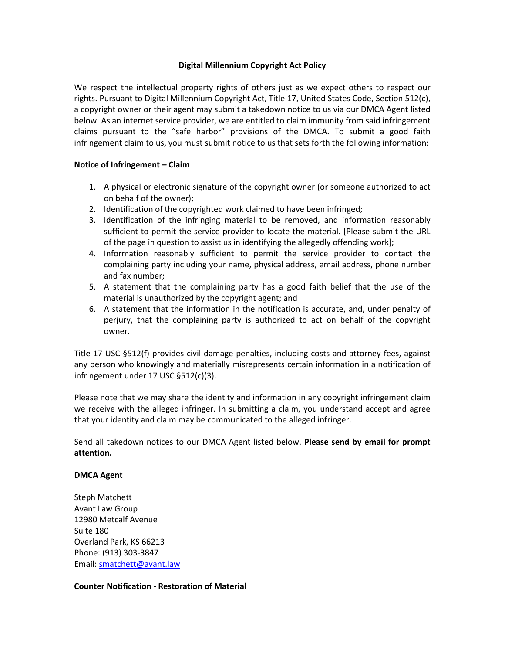# **Digital Millennium Copyright Act Policy**

We respect the intellectual property rights of others just as we expect others to respect our rights. Pursuant to Digital Millennium Copyright Act, Title 17, United States Code, Section 512(c), a copyright owner or their agent may submit a takedown notice to us via our DMCA Agent listed below. As an internet service provider, we are entitled to claim immunity from said infringement claims pursuant to the "safe harbor" provisions of the DMCA. To submit a good faith infringement claim to us, you must submit notice to us that sets forth the following information:

### **Notice of Infringement – Claim**

- 1. A physical or electronic signature of the copyright owner (or someone authorized to act on behalf of the owner);
- 2. Identification of the copyrighted work claimed to have been infringed;
- 3. Identification of the infringing material to be removed, and information reasonably sufficient to permit the service provider to locate the material. [Please submit the URL of the page in question to assist us in identifying the allegedly offending work];
- 4. Information reasonably sufficient to permit the service provider to contact the complaining party including your name, physical address, email address, phone number and fax number;
- 5. A statement that the complaining party has a good faith belief that the use of the material is unauthorized by the copyright agent; and
- 6. A statement that the information in the notification is accurate, and, under penalty of perjury, that the complaining party is authorized to act on behalf of the copyright owner.

Title 17 USC §512(f) provides civil damage penalties, including costs and attorney fees, against any person who knowingly and materially misrepresents certain information in a notification of infringement under 17 USC §512(c)(3).

Please note that we may share the identity and information in any copyright infringement claim we receive with the alleged infringer. In submitting a claim, you understand accept and agree that your identity and claim may be communicated to the alleged infringer.

Send all takedown notices to our DMCA Agent listed below. **Please send by email for prompt attention.**

#### **DMCA Agent**

Steph Matchett Avant Law Group 12980 Metcalf Avenue Suite 180 Overland Park, KS 66213 Phone: (913) 303-3847 Email: [smatchett@avant.law](mailto:smatchett@avant.law)

#### **Counter Notification - Restoration of Material**